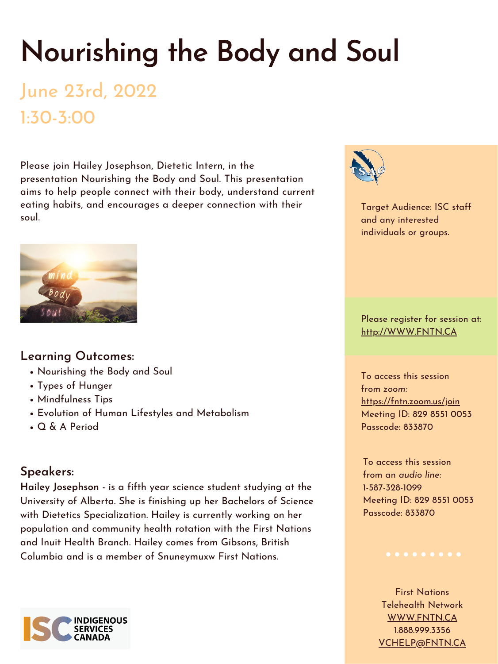# **Nourishing the Body and Soul**

## June 23rd, 2022 1:30-3:00

- Nourishing the Body and Soul
- Types of Hunger
- Mindfulness Tips
- Evolution of Human Lifestyles and Metabolism
- Q & A Period

#### **Learning Outcomes:**

### **Speakers:**

**Hailey Josephson -** is a fifth year science student studying at the University of Alberta. She is finishing up her Bachelors of Science with Dietetics Specialization. Hailey is currently working on her population and community health rotation with the First Nations and Inuit Health Branch. Hailey comes from Gibsons, British Columbia and is a member of Snuneymuxw First Nations.

Target Audience: ISC staff and any interested individuals or groups.



Please register for session at: [http://WWW.FNTN.CA](https://fntn.ca/Home/Register-VC?eid=19192)

To access this session from *zoom:* [https://fntn.zoom.us/join](https://fntn.zoom.us/s/82985510053) Meeting ID: 829 8551 0053 Passcode: 833870

To access this session from an *audio line:* 1-587-328-1099 Meeting ID: 829 8551 0053 Passcode: 833870

First Nations Telehealth Network [WWW.FNTN.CA](https://fntn.ca/) 1.888.999.3356 VCHELP@FNTN.CA



Please join Hailey Josephson, Dietetic Intern, in the presentation Nourishing the Body and Soul. This presentation aims to help people connect with their body, understand current eating habits, and encourages a deeper connection with their soul.